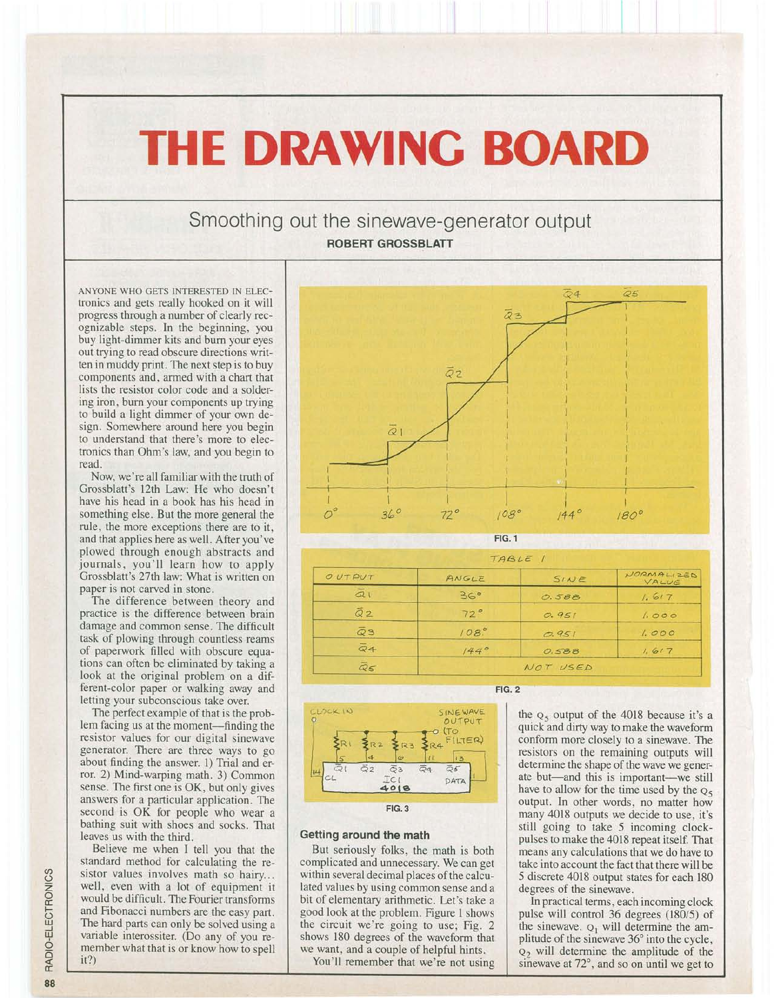## **THE DRAWING BOARD**

## Smoothing out the sinewave-generator output ROBERT GROSSBLATT

ANYONE WHO GETS INTERESTED IN ELECtronics and gets really hooked on it will progress through a number of clearly recognizable steps. In the beginning, you buy light-dimmer kits and bum your eyes out trying to read obscure directions written in muddy print. The next step is to buy components and, armed with a chart that lists the resistor color code and a soldering iron, burn your components up trying to build a light dimmer of your own design. Somewhere around here you begin to understand that there's more to electronics than Ohm's law, and you begin to read.

Now, we're all familiar with the truth of Grossblatt's 12th Law: He who doesn't have his head in a book has his head in something else. But the more general the rule, the more exceptions there are to it, and that applies here as well. After you've plowed through enough abstracts and journals, you'll learn how to apply Grossblatt's 27th law: What is written on paper is not carved in stone.

The difference between theory and practice is the difference between brain damage and common sense. The difficult task of plowing through countless reams of paperwork filled with obscure equations can often be eliminated by taking a look at the original problem on a different-color paper or walking away and letting your subconscious take over.

The perfect example of that is the problem facing us at the moment—finding the resistor values for our digital sinewave generator. There are three ways to go about finding the answer. 1) Trial and error. 2) Mind-warping math. 3) Common sense. The first one is OK, but only gives answers for a particular application. The second is OK for people who wear a bathing suit with shoes and socks. That leaves us with the third.

Believe me when I tell you that the standard method for calculating the resistor values involves math so hairy... well, even with a lot of equipment it would be difficult. The Fourier transforms and Fibonacci numbers are the easy part. The hard parts can only be solved using a variable interossiter. (Do any of you remember what that is or know how to spell it?)



| TABLE 1               |          |       |                     |
|-----------------------|----------|-------|---------------------|
| O UT PUT              | ANGLE    | SINE  | NORMALIZED<br>VALUE |
| $\bar{a}$             | 36°      | 0.588 | 1.617               |
| $\overline{Q}2$       | 72°      | 0.951 | 1.000               |
| $\bar{\varpi}$ 3      | 108      | 0.951 | 1.000               |
| $\overline{Q}4$       | 144°     | 0.588 | 1.617               |
| $\bar{\mathcal{Q}}$ 5 | NOT USED |       |                     |



## Getting around the math

But seriously folks, the math is both complicated and unnecessary. We can get within several decimal places of the calculated values by using common sense and a bit of elementary arithmetic. Let's take a good look at the problem. Figure 1 shows the circuit we're going to use; Fig. 2 shows 180 degrees of the waveform that we want, and a couple of helpful hints.

You'll remember that we're not using

FIG. 2

the  $Q_5$  output of the 4018 because it's a quick and dirty way to make the waveform conform more closely to a sinewave. The resistors on the remaining outputs will determine the shape of the wave we generate but-and this is important-we still have to allow for the time used by the  $Q_5$ output. In other words, no matter how many 4018 outputs we decide to use, it's still going to take 5 incoming clockpulses to make the 4018 repeat itself. That means any calculations that we do have to take into account the fact that there will be 5 discrete 4018 output states for each 180 degrees of the sinewave.

In practical terms, each incoming clock pulse will control 36 degrees (180/5) of the sinewave.  $Q_1$  will determine the amplitude of the sinewave 36° into the cycle,  $Q<sub>2</sub>$  will determine the amplitude of the sinewave at 72°, and so on until we get to